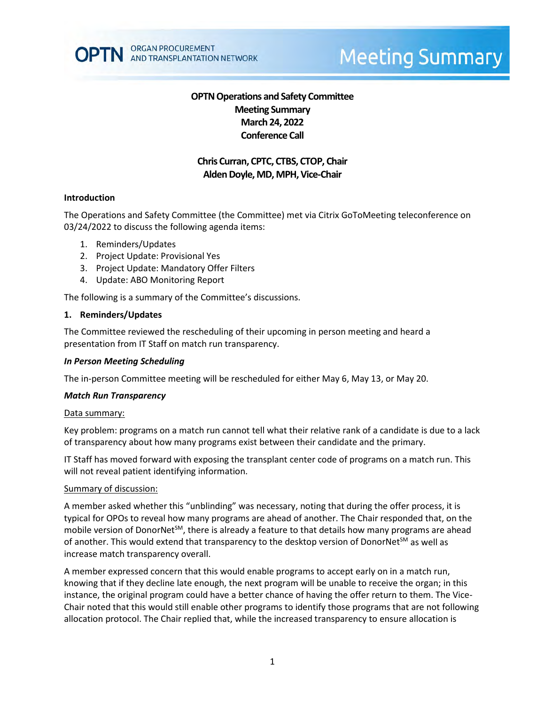

# **Meeting Summary**

# **OPTN Operations and Safety Committee Meeting Summary March 24, 2022 Conference Call**

# **Chris Curran, CPTC, CTBS, CTOP, Chair Alden Doyle, MD, MPH, Vice-Chair**

#### **Introduction**

The Operations and Safety Committee (the Committee) met via Citrix GoToMeeting teleconference on 03/24/2022 to discuss the following agenda items:

- 1. Reminders/Updates
- 2. Project Update: Provisional Yes
- 3. Project Update: Mandatory Offer Filters
- 4. Update: ABO Monitoring Report

The following is a summary of the Committee's discussions.

#### **1. Reminders/Updates**

The Committee reviewed the rescheduling of their upcoming in person meeting and heard a presentation from IT Staff on match run transparency.

#### *In Person Meeting Scheduling*

The in-person Committee meeting will be rescheduled for either May 6, May 13, or May 20.

#### *Match Run Transparency*

#### Data summary:

Key problem: programs on a match run cannot tell what their relative rank of a candidate is due to a lack of transparency about how many programs exist between their candidate and the primary.

IT Staff has moved forward with exposing the transplant center code of programs on a match run. This will not reveal patient identifying information.

#### Summary of discussion:

A member asked whether this "unblinding" was necessary, noting that during the offer process, it is typical for OPOs to reveal how many programs are ahead of another. The Chair responded that, on the mobile version of DonorNet<sup>SM</sup>, there is already a feature to that details how many programs are ahead of another. This would extend that transparency to the desktop version of DonorNet<sup>SM</sup> as well as increase match transparency overall.

A member expressed concern that this would enable programs to accept early on in a match run, knowing that if they decline late enough, the next program will be unable to receive the organ; in this instance, the original program could have a better chance of having the offer return to them. The Vice-Chair noted that this would still enable other programs to identify those programs that are not following allocation protocol. The Chair replied that, while the increased transparency to ensure allocation is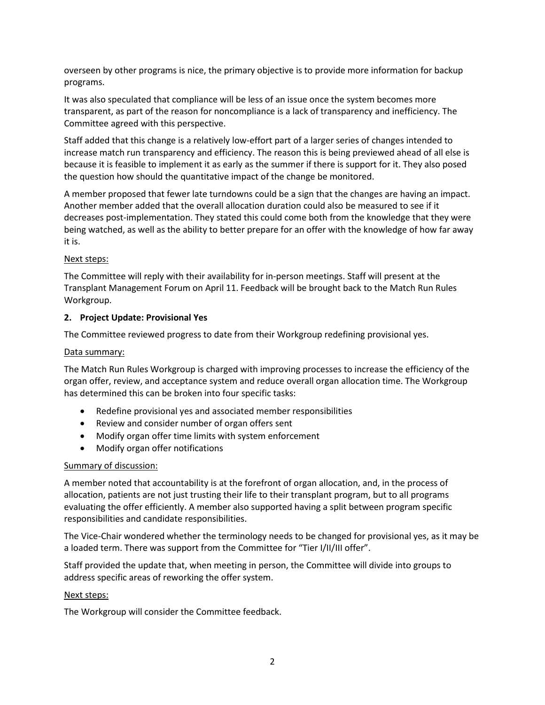overseen by other programs is nice, the primary objective is to provide more information for backup programs.

It was also speculated that compliance will be less of an issue once the system becomes more transparent, as part of the reason for noncompliance is a lack of transparency and inefficiency. The Committee agreed with this perspective.

Staff added that this change is a relatively low-effort part of a larger series of changes intended to increase match run transparency and efficiency. The reason this is being previewed ahead of all else is because it is feasible to implement it as early as the summer if there is support for it. They also posed the question how should the quantitative impact of the change be monitored.

A member proposed that fewer late turndowns could be a sign that the changes are having an impact. Another member added that the overall allocation duration could also be measured to see if it decreases post-implementation. They stated this could come both from the knowledge that they were being watched, as well as the ability to better prepare for an offer with the knowledge of how far away it is.

# Next steps:

The Committee will reply with their availability for in-person meetings. Staff will present at the Transplant Management Forum on April 11. Feedback will be brought back to the Match Run Rules Workgroup.

## **2. Project Update: Provisional Yes**

The Committee reviewed progress to date from their Workgroup redefining provisional yes.

## Data summary:

The Match Run Rules Workgroup is charged with improving processes to increase the efficiency of the organ offer, review, and acceptance system and reduce overall organ allocation time. The Workgroup has determined this can be broken into four specific tasks:

- Redefine provisional yes and associated member responsibilities
- Review and consider number of organ offers sent
- Modify organ offer time limits with system enforcement
- Modify organ offer notifications

## Summary of discussion:

A member noted that accountability is at the forefront of organ allocation, and, in the process of allocation, patients are not just trusting their life to their transplant program, but to all programs evaluating the offer efficiently. A member also supported having a split between program specific responsibilities and candidate responsibilities.

The Vice-Chair wondered whether the terminology needs to be changed for provisional yes, as it may be a loaded term. There was support from the Committee for "Tier I/II/III offer".

Staff provided the update that, when meeting in person, the Committee will divide into groups to address specific areas of reworking the offer system.

## Next steps:

The Workgroup will consider the Committee feedback.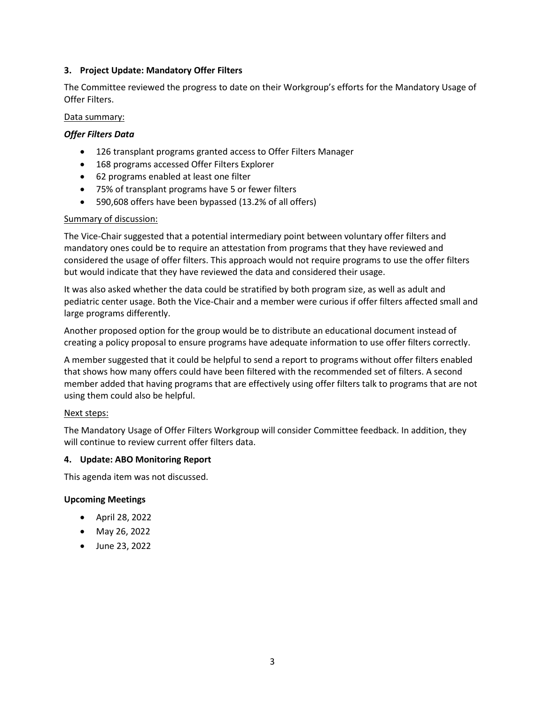## **3. Project Update: Mandatory Offer Filters**

The Committee reviewed the progress to date on their Workgroup's efforts for the Mandatory Usage of Offer Filters.

## Data summary:

## *Offer Filters Data*

- 126 transplant programs granted access to Offer Filters Manager
- 168 programs accessed Offer Filters Explorer
- 62 programs enabled at least one filter
- 75% of transplant programs have 5 or fewer filters
- 590,608 offers have been bypassed (13.2% of all offers)

## Summary of discussion:

The Vice-Chair suggested that a potential intermediary point between voluntary offer filters and mandatory ones could be to require an attestation from programs that they have reviewed and considered the usage of offer filters. This approach would not require programs to use the offer filters but would indicate that they have reviewed the data and considered their usage.

It was also asked whether the data could be stratified by both program size, as well as adult and pediatric center usage. Both the Vice-Chair and a member were curious if offer filters affected small and large programs differently.

Another proposed option for the group would be to distribute an educational document instead of creating a policy proposal to ensure programs have adequate information to use offer filters correctly.

A member suggested that it could be helpful to send a report to programs without offer filters enabled that shows how many offers could have been filtered with the recommended set of filters. A second member added that having programs that are effectively using offer filters talk to programs that are not using them could also be helpful.

## Next steps:

The Mandatory Usage of Offer Filters Workgroup will consider Committee feedback. In addition, they will continue to review current offer filters data.

## **4. Update: ABO Monitoring Report**

This agenda item was not discussed.

## **Upcoming Meetings**

- April 28, 2022
- May 26, 2022
- June 23, 2022